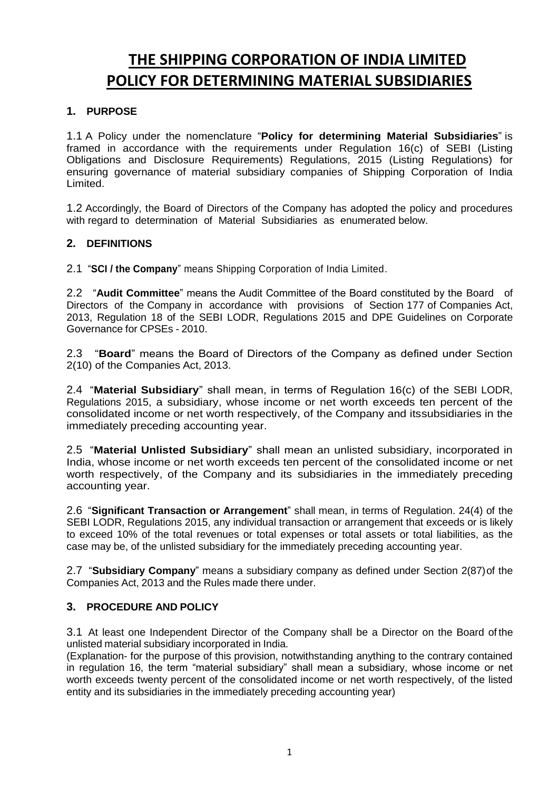# **THE SHIPPING CORPORATION OF INDIA LIMITED POLICY FOR DETERMINING MATERIAL SUBSIDIARIES**

## **1. PURPOSE**

1.1 A Policy under the nomenclature "**Policy for determining Material Subsidiaries**" is framed in accordance with the requirements under Regulation 16(c) of SEBI (Listing Obligations and Disclosure Requirements) Regulations, 2015 (Listing Regulations) for ensuring governance of material subsidiary companies of Shipping Corporation of India Limited.

1.2 Accordingly, the Board of Directors of the Company has adopted the policy and procedures with regard to determination of Material Subsidiaries as enumerated below.

# **2. DEFINITIONS**

2.1 "**SCI / the Company**" means Shipping Corporation of India Limited.

2.2 "**Audit Committee**" means the Audit Committee of the Board constituted by the Board of Directors of the Company in accordance with provisions of Section 177 of Companies Act, 2013, Regulation 18 of the SEBI LODR, Regulations 2015 and DPE Guidelines on Corporate Governance for CPSEs - 2010.

2.3 "**Board**" means the Board of Directors of the Company as defined under Section 2(10) of the Companies Act, 2013.

2.4 "**Material Subsidiary**" shall mean, in terms of Regulation 16(c) of the SEBI LODR, Regulations 2015, a subsidiary, whose income or net worth exceeds ten percent of the consolidated income or net worth respectively, of the Company and its subsidiaries in the immediately preceding accounting year.

2.5 "**Material Unlisted Subsidiary**" shall mean an unlisted subsidiary, incorporated in India, whose income or net worth exceeds ten percent of the consolidated income or net worth respectively, of the Company and its subsidiaries in the immediately preceding accounting year.

2.6 "**Significant Transaction or Arrangement**" shall mean, in terms of Regulation. 24(4) of the SEBI LODR, Regulations 2015, any individual transaction or arrangement that exceeds or is likely to exceed 10% of the total revenues or total expenses or total assets or total liabilities, as the case may be, of the unlisted subsidiary for the immediately preceding accounting year.

2.7 "**Subsidiary Company**" means a subsidiary company as defined under Section 2(87)of the Companies Act, 2013 and the Rules made there under.

## **3. PROCEDURE AND POLICY**

3.1 At least one Independent Director of the Company shall be a Director on the Board of the unlisted material subsidiary incorporated in India.

(Explanation- for the purpose of this provision, notwithstanding anything to the contrary contained in regulation 16, the term "material subsidiary" shall mean a subsidiary, whose income or net worth exceeds twenty percent of the consolidated income or net worth respectively, of the listed entity and its subsidiaries in the immediately preceding accounting year)